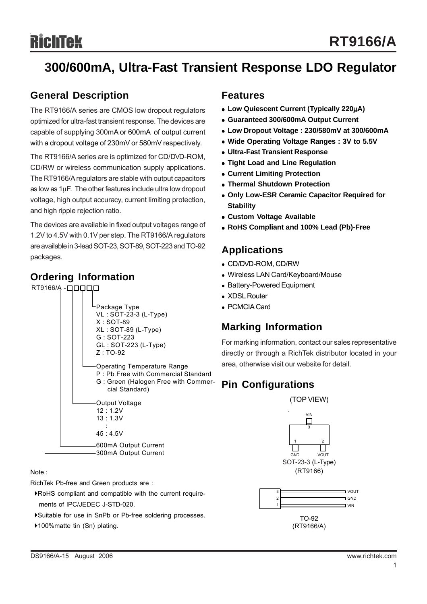## **300/600mA, Ultra-Fast Transient Response LDO Regulator**

## **General Description**

The RT9166/A series are CMOS low dropout regulators optimized for ultra-fast transient response. The devices are capable of supplying 300mA or 600mA of output current with a dropout voltage of 230mV or 580mV respectively.

The RT9166/A series are is optimized for CD/DVD-ROM, CD/RW or wireless communication supply applications. The RT9166/A regulators are stable with output capacitors as low as 1μF. The other features include ultra low dropout voltage, high output accuracy, current limiting protection, and high ripple rejection ratio.

The devices are available in fixed output voltages range of 1.2V to 4.5V with 0.1V per step. The RT9166/A regulators are available in 3-lead SOT-23, SOT-89, SOT-223 and TO-92 packages.

### **Ordering Information**



RichTek Pb-free and Green products are :

- `RoHS compliant and compatible with the current require ments of IPC/JEDEC J-STD-020.
- `Suitable for use in SnPb or Pb-free soldering processes.
- ▶100%matte tin (Sn) plating.

### **Features**

- <sup>z</sup> **Low Quiescent Current (Typically 220**μ**A)**
- <sup>z</sup> **Guaranteed 300/600mA Output Current**
- <sup>z</sup> **Low Dropout Voltage : 230/580mV at 300/600mA**
- Wide Operating Voltage Ranges: 3V to 5.5V
- **Ultra-Fast Transient Response**
- **Tight Load and Line Regulation**
- **Current Limiting Protection**
- **Thermal Shutdown Protection**
- **Only Low-ESR Ceramic Capacitor Required for Stability**
- **Custom Voltage Available**
- <sup>z</sup> **RoHS Compliant and 100% Lead (Pb)-Free**

### **Applications**

- <sup>z</sup> CD/DVD-ROM, CD/RW
- Wireless LAN Card/Keyboard/Mouse
- Battery-Powered Equipment
- XDSL Router
- <sup>z</sup> PCMCIA Card

## **Marking Information**

For marking information, contact our sales representative directly or through a RichTek distributor located in your area, otherwise visit our website for detail.

## **Pin Configurations**



(RT9166/A)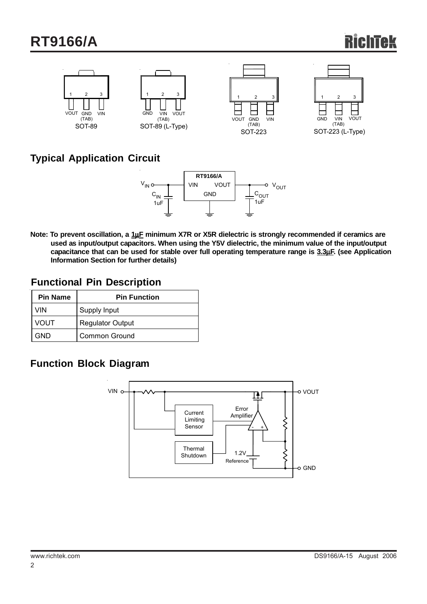## **RT9166/A**



## **Typical Application Circuit**



**Note: To prevent oscillation, a 1**μ**F minimum X7R or X5R dielectric is strongly recommended if ceramics are used as input/output capacitors. When using the Y5V dielectric, the minimum value of the input/output capacitance that can be used for stable over full operating temperature range is 3.3**μ**F. (see Application Information Section for further details)**

### **Functional Pin Description**

| <b>Pin Name</b> | <b>Pin Function</b>     |
|-----------------|-------------------------|
| VIN             | Supply Input            |
| VOUT            | <b>Regulator Output</b> |
| GND             | <b>Common Ground</b>    |

## **Function Block Diagram**

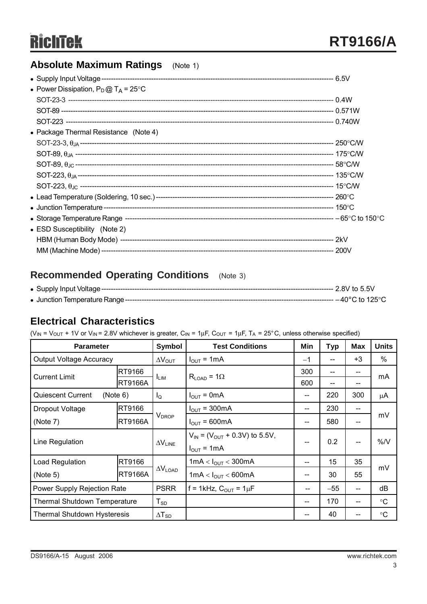## **Absolute Maximum Ratings** (Note 1)

| • Power Dissipation, $P_D @ T_A = 25^{\circ}C$ |  |
|------------------------------------------------|--|
|                                                |  |
|                                                |  |
|                                                |  |
| • Package Thermal Resistance (Note 4)          |  |
|                                                |  |
|                                                |  |
|                                                |  |
|                                                |  |
|                                                |  |
|                                                |  |
|                                                |  |
|                                                |  |
| • ESD Susceptibility (Note 2)                  |  |
|                                                |  |
|                                                |  |
|                                                |  |

## **Recommended Operating Conditions** (Note 3)

## **Electrical Characteristics**

(V<sub>IN</sub> = V<sub>OUT</sub> + 1V or V<sub>IN</sub> = 2.8V whichever is greater, C<sub>IN</sub> = 1<sub>H</sub>F, C<sub>OUT</sub> = 1<sub>H</sub>F, T<sub>A</sub> = 25°C, unless otherwise specified)

| <b>Parameter</b>                     |                | Symbol                   | <b>Test Conditions</b>                        | Min  | <b>Typ</b>                            | <b>Max</b>                            | <b>Units</b> |  |
|--------------------------------------|----------------|--------------------------|-----------------------------------------------|------|---------------------------------------|---------------------------------------|--------------|--|
| <b>Output Voltage Accuracy</b>       |                | $\Delta V_{\text{OUT}}$  | $I_{\text{OUT}} = 1 \text{mA}$                | $-1$ | --                                    | $+3$                                  | $\%$         |  |
| <b>Current Limit</b>                 | RT9166         |                          | $R_{LOAD}$ = 1 $\Omega$                       | 300  | $\hspace{0.05cm}$ – $\hspace{0.05cm}$ |                                       | mA           |  |
|                                      | <b>RT9166A</b> | $I_{LIM}$                |                                               | 600  | $\hspace{0.05cm}$ – $\hspace{0.05cm}$ | --                                    |              |  |
| <b>Quiescent Current</b><br>(Note 6) |                | $I_{\mathsf{Q}}$         | $I_{\text{OUT}} = 0 \text{mA}$                | --   | 220                                   | 300                                   | μA           |  |
| Dropout Voltage                      | RT9166         |                          | $I_{OUT} = 300mA$                             | $-$  | 230                                   | $\hspace{0.05cm}$ – $\hspace{0.05cm}$ |              |  |
| (Note 7)                             | <b>RT9166A</b> | V <sub>DROP</sub>        | $I_{OUT} = 600mA$                             | --   | 580                                   | --                                    | mV           |  |
| Line Regulation                      |                | $\Delta V_{\text{LINE}}$ | $V_{IN}$ = (V <sub>OUT</sub> + 0.3V) to 5.5V, |      | 0.2                                   | $\hspace{0.05cm}$ – $\hspace{0.05cm}$ | % / V        |  |
|                                      |                |                          | $I_{OUT} = 1mA$                               | --   |                                       |                                       |              |  |
| Load Regulation                      | RT9166         |                          | 1mA < $I_{OUT}$ < 300mA                       |      | 15                                    | 35                                    |              |  |
| (Note 5)                             | <b>RT9166A</b> | $\Delta V_{\text{LOAD}}$ | 1mA < $I_{OUT}$ < 600mA                       | --   | 30                                    | 55                                    | mV           |  |
| Power Supply Rejection Rate          |                | <b>PSRR</b>              | $f = 1$ kHz, $C_{OUT} = 1 \mu F$              | --   | $-55$                                 | $-$                                   | dB           |  |
| <b>Thermal Shutdown Temperature</b>  |                | $T_{SD}$                 |                                               | --   | 170                                   | $\hspace{0.05cm}$ – $\hspace{0.05cm}$ | $^{\circ}C$  |  |
| <b>Thermal Shutdown Hysteresis</b>   |                | $\Delta T_{SD}$          |                                               |      | 40                                    |                                       | $\circ$ C    |  |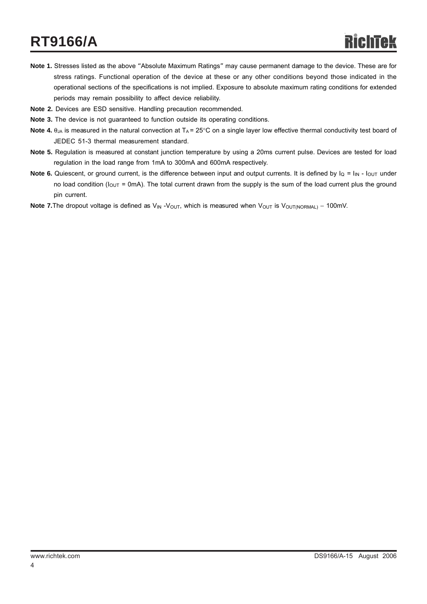## **RT9166/A**

- **Note 1.** Stresses listed as the above "Absolute Maximum Ratings" may cause permanent damage to the device. These are for stress ratings. Functional operation of the device at these or any other conditions beyond those indicated in the operational sections of the specifications is not implied. Exposure to absolute maximum rating conditions for extended periods may remain possibility to affect device reliability.
- **Note 2.** Devices are ESD sensitive. Handling precaution recommended.
- **Note 3.** The device is not guaranteed to function outside its operating conditions.
- **Note 4.**  $\theta_{JA}$  is measured in the natural convection at  $T_A = 25^\circ \text{C}$  on a single layer low effective thermal conductivity test board of JEDEC 51-3 thermal measurement standard.
- **Note 5.** Regulation is measured at constant junction temperature by using a 20ms current pulse. Devices are tested for load regulation in the load range from 1mA to 300mA and 600mA respectively.
- **Note 6.** Quiescent, or ground current, is the difference between input and output currents. It is defined by  $I_Q = I_{IN} I_{OUT}$  under no load condition ( $I_{OUT}$  = 0mA). The total current drawn from the supply is the sum of the load current plus the ground pin current.
- Note 7. The dropout voltage is defined as V<sub>IN</sub> V<sub>OUT</sub>, which is measured when V<sub>OUT</sub> is V<sub>OUT(NORMAL)</sub> 100mV.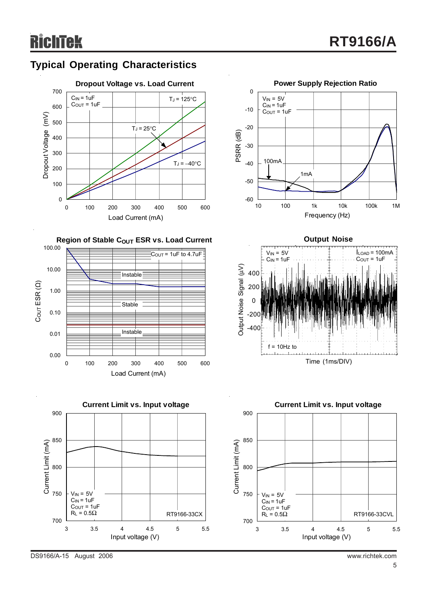## **Typical Operating Characteristics**













DS9166/A-15 August 2006 www.richtek.com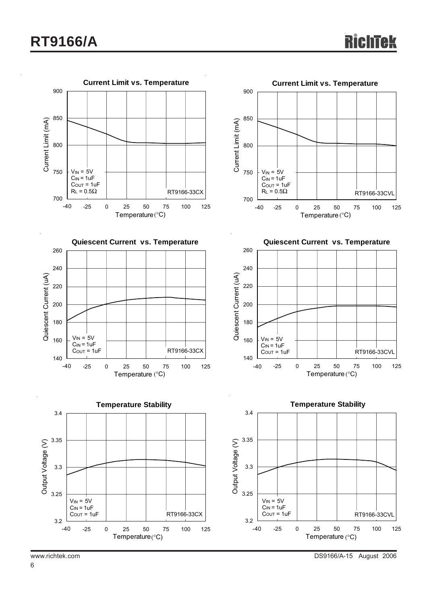

6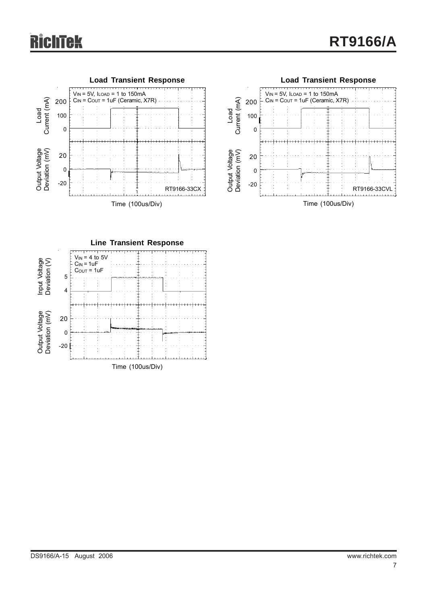## **RichTek**





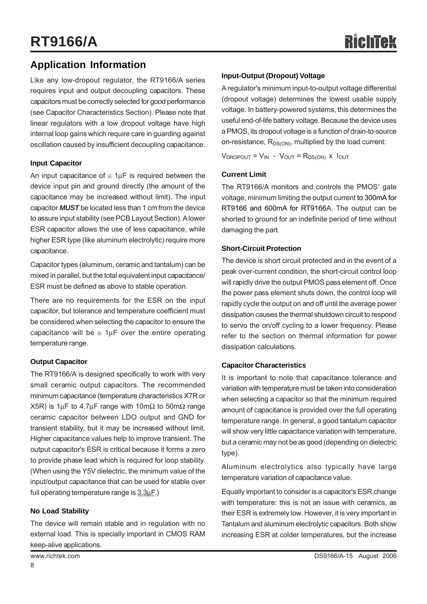## **Application Information**

Like any low-dropout regulator, the RT9166/A series requires input and output decoupling capacitors. These capacitors must be correctly selected for good performance (see Capacitor Characteristics Section). Please note that linear regulators with a low dropout voltage have high internal loop gains which require care in guarding against oscillation caused by insufficient decoupling capacitance.

#### **Input Capacitor**

An input capacitance of  $\approx 1 \mu$ F is required between the device input pin and ground directly (the amount of the capacitance may be increased without limit). The input capacitor *MUST* be located less than 1 cm from the device to assure input stability (see PCB Layout Section). A lower ESR capacitor allows the use of less capacitance, while higher ESR type (like aluminum electrolytic) require more capacitance.

Capacitor types (aluminum, ceramic and tantalum) can be mixed in parallel, but the total equivalent input capacitance/ ESR must be defined as above to stable operation.

There are no requirements for the ESR on the input capacitor, but tolerance and temperature coefficient must be considered when selecting the capacitor to ensure the capacitance will be  $\leq 1 \mu$ F over the entire operating temperature range.

#### **Output Capacitor**

The RT9166/A is designed specifically to work with very small ceramic output capacitors. The recommended minimum capacitance (temperature characteristics X7R or X5R) is 1μF to 4.7μF range with 10mΩ to 50mΩ range ceramic capacitor between LDO output and GND for transient stability, but it may be increased without limit. Higher capacitance values help to improve transient. The output capacitor's ESR is critical because it forms a zero to provide phase lead which is required for loop stability. (When using the Y5V dielectric, the minimum value of the input/output capacitance that can be used for stable over full operating temperature range is 3.3μF.)

#### **No Load Stability**

The device will remain stable and in regulation with no external load. This is specially important in CMOS RAM keep-alive applications.

#### **Input-Output (Dropout) Voltage**

A regulator's minimum input-to-output voltage differential (dropout voltage) determines the lowest usable supply voltage. In battery-powered systems, this determines the useful end-of-life battery voltage. Because the device uses a PMOS, its dropout voltage is a function of drain-to-source on-resistance,  $R_{DS(ON)}$ , multiplied by the load current:

 $V_{\text{DROPOUT}} = V_{\text{IN}} - V_{\text{OUT}} = R_{\text{DS(ON)}}$  x  $I_{\text{OUT}}$ 

#### **Current Limit**

The RT9166/A monitors and controls the PMOS' gate voltage, minimum limiting the output current to 300mA for RT9166 and 600mA for RT9166A. The output can be shorted to ground for an indefinite period of time without damaging the part.

#### **Short-Circuit Protection**

The device is short circuit protected and in the event of a peak over-current condition, the short-circuit control loop will rapidly drive the output PMOS pass element off. Once the power pass element shuts down, the control loop will rapidly cycle the output on and off until the average power dissipation causes the thermal shutdown circuit to respond to servo the on/off cycling to a lower frequency. Please refer to the section on thermal information for power dissipation calculations.

#### **Capacitor Characteristics**

It is important to note that capacitance tolerance and variation with temperature must be taken into consideration when selecting a capacitor so that the minimum required amount of capacitance is provided over the full operating temperature range. In general, a good tantalum capacitor will show very little capacitance variation with temperature, but a ceramic may not be as good (depending on dielectric type).

Aluminum electrolytics also typically have large temperature variation of capacitance value.

Equally important to consider is a capacitor's ESR change with temperature: this is not an issue with ceramics, as their ESR is extremely low. However, it is very important in Tantalum and aluminum electrolytic capacitors. Both show increasing ESR at colder temperatures, but the increase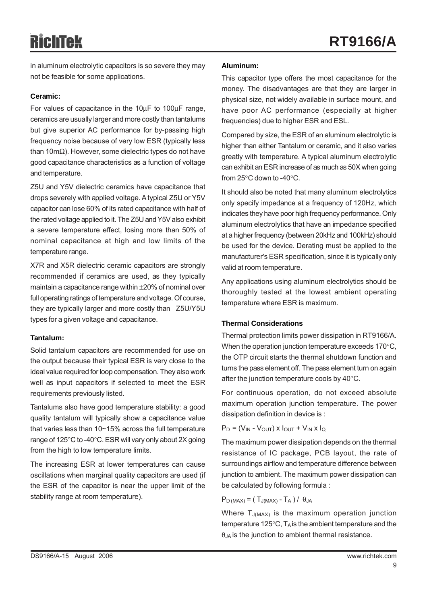# RichTek

in aluminum electrolytic capacitors is so severe they may not be feasible for some applications.

#### **Ceramic:**

For values of capacitance in the 10μF to 100μF range, ceramics are usually larger and more costly than tantalums but give superior AC performance for by-passing high frequency noise because of very low ESR (typically less than 10mΩ). However, some dielectric types do not have good capacitance characteristics as a function of voltage and temperature.

Z5U and Y5V dielectric ceramics have capacitance that drops severely with applied voltage. A typical Z5U or Y5V capacitor can lose 60% of its rated capacitance with half of the rated voltage applied to it. The Z5U and Y5V also exhibit a severe temperature effect, losing more than 50% of nominal capacitance at high and low limits of the temperature range.

X7R and X5R dielectric ceramic capacitors are strongly recommended if ceramics are used, as they typically maintain a capacitance range within ±20% of nominal over full operating ratings of temperature and voltage. Of course, they are typically larger and more costly than Z5U/Y5U types for a given voltage and capacitance.

#### **Tantalum:**

Solid tantalum capacitors are recommended for use on the output because their typical ESR is very close to the ideal value required for loop compensation. They also work well as input capacitors if selected to meet the ESR requirements previously listed.

Tantalums also have good temperature stability: a good quality tantalum will typically show a capacitance value that varies less than 10~15% across the full temperature range of 125°C to -40°C. ESR will vary only about 2X going from the high to low temperature limits.

The increasing ESR at lower temperatures can cause oscillations when marginal quality capacitors are used (if the ESR of the capacitor is near the upper limit of the stability range at room temperature).

#### **Aluminum:**

This capacitor type offers the most capacitance for the money. The disadvantages are that they are larger in physical size, not widely available in surface mount, and have poor AC performance (especially at higher frequencies) due to higher ESR and ESL.

Compared by size, the ESR of an aluminum electrolytic is higher than either Tantalum or ceramic, and it also varies greatly with temperature. A typical aluminum electrolytic can exhibit an ESR increase of as much as 50X when going from 25°C down to -40°C.

It should also be noted that many aluminum electrolytics only specify impedance at a frequency of 120Hz, which indicates they have poor high frequency performance. Only aluminum electrolytics that have an impedance specified at a higher frequency (between 20kHz and 100kHz) should be used for the device. Derating must be applied to the manufacturer's ESR specification, since it is typically only valid at room temperature.

Any applications using aluminum electrolytics should be thoroughly tested at the lowest ambient operating temperature where ESR is maximum.

#### **Thermal Considerations**

Thermal protection limits power dissipation in RT9166/A. When the operation junction temperature exceeds 170°C, the OTP circuit starts the thermal shutdown function and turns the pass element off. The pass element turn on again after the junction temperature cools by 40°C.

For continuous operation, do not exceed absolute maximum operation junction temperature. The power dissipation definition in device is :

$$
P_D = (V_{IN} - V_{OUT}) \times I_{OUT} + V_{IN} \times I_Q
$$

The maximum power dissipation depends on the thermal resistance of IC package, PCB layout, the rate of surroundings airflow and temperature difference between junction to ambient. The maximum power dissipation can be calculated by following formula :

 $P_{D (MAX)} = (T_{J (MAX)} - T_A) / \theta_{JA}$ 

Where  $T_{J(MAX)}$  is the maximum operation junction temperature 125 $\degree$ C, T<sub>A</sub> is the ambient temperature and the θJA is the junction to ambient thermal resistance.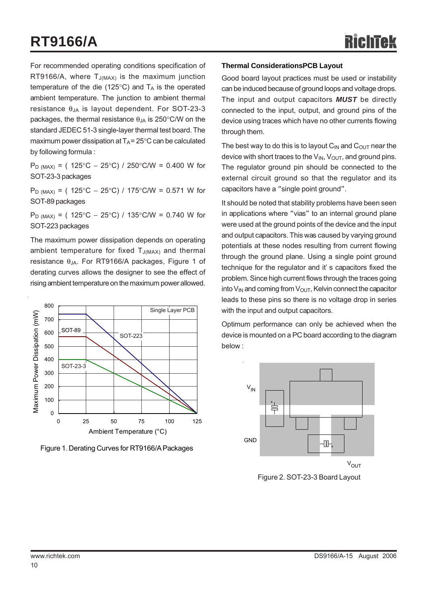## **RT9166/A**

For recommended operating conditions specification of RT9166/A, where  $T_{J(MAX)}$  is the maximum junction temperature of the die (125 $\degree$ C) and  $T_A$  is the operated ambient temperature. The junction to ambient thermal resistance  $θ_{JA}$  is layout dependent. For SOT-23-3 packages, the thermal resistance  $\theta_{JA}$  is 250°C/W on the standard JEDEC 51-3 single-layer thermal test board. The maximum power dissipation at  $T_A = 25^{\circ}$ C can be calculated by following formula :

P<sub>D (MAX)</sub> = ( 125°C − 25°C) / 250°C/W = 0.400 W for SOT-23-3 packages

P<sub>D (MAX)</sub> = ( 125°C − 25°C) / 175°C/W = 0.571 W for SOT-89 packages

P<sub>D (MAX)</sub> = ( 125°C − 25°C) / 135°C/W = 0.740 W for SOT-223 packages

The maximum power dissipation depends on operating ambient temperature for fixed  $T_{J(MAX)}$  and thermal resistance θJA. For RT9166/A packages, Figure 1 of derating curves allows the designer to see the effect of rising ambient temperature on the maximum power allowed.



Figure 1. Derating Curves for RT9166/A Packages

#### **Thermal ConsiderationsPCB Layout**

Good board layout practices must be used or instability can be induced because of ground loops and voltage drops. The input and output capacitors *MUST* be directly connected to the input, output, and ground pins of the device using traces which have no other currents flowing through them.

The best way to do this is to layout  $C_{IN}$  and  $C_{OUT}$  near the device with short traces to the  $V_{IN}$ ,  $V_{OUT}$ , and ground pins. The regulator ground pin should be connected to the external circuit ground so that the regulator and its capacitors have a "single point ground".

It should be noted that stability problems have been seen in applications where "vias" to an internal ground plane were used at the ground points of the device and the input and output capacitors. This was caused by varying ground potentials at these nodes resulting from current flowing through the ground plane. Using a single point ground technique for the regulator and it' s capacitors fixed the problem. Since high current flows through the traces going into  $V_{IN}$  and coming from  $V_{OUT}$ , Kelvin connect the capacitor leads to these pins so there is no voltage drop in series with the input and output capacitors.

Optimum performance can only be achieved when the device is mounted on a PC board according to the diagram below :



Figure 2. SOT-23-3 Board Layout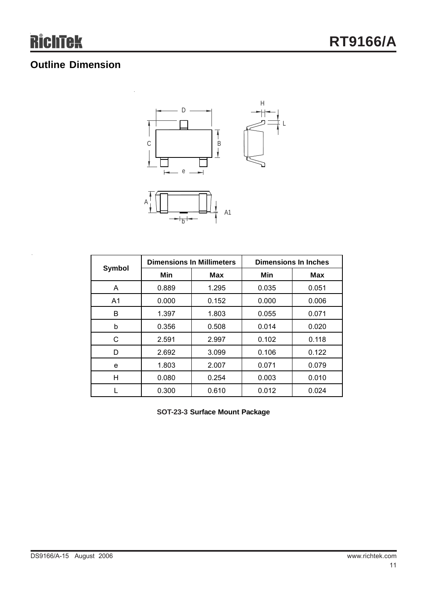## **Outline Dimension**



| <b>Symbol</b>  |       | <b>Dimensions In Millimeters</b> | <b>Dimensions In Inches</b> |            |
|----------------|-------|----------------------------------|-----------------------------|------------|
|                | Min   | <b>Max</b>                       | Min                         | <b>Max</b> |
| A              | 0.889 | 1.295                            | 0.035                       | 0.051      |
| A <sub>1</sub> | 0.000 | 0.152                            | 0.000                       | 0.006      |
| B              | 1.397 | 1.803                            | 0.055                       | 0.071      |
| b              | 0.356 | 0.508                            | 0.014                       | 0.020      |
| C              | 2.591 | 2.997                            | 0.102                       | 0.118      |
| D              | 2.692 | 3.099                            | 0.106                       | 0.122      |
| е              | 1.803 | 2.007                            | 0.071                       | 0.079      |
| H              | 0.080 | 0.254                            | 0.003                       | 0.010      |
|                | 0.300 | 0.610                            | 0.012                       | 0.024      |

**SOT-23-3 Surface Mount Package**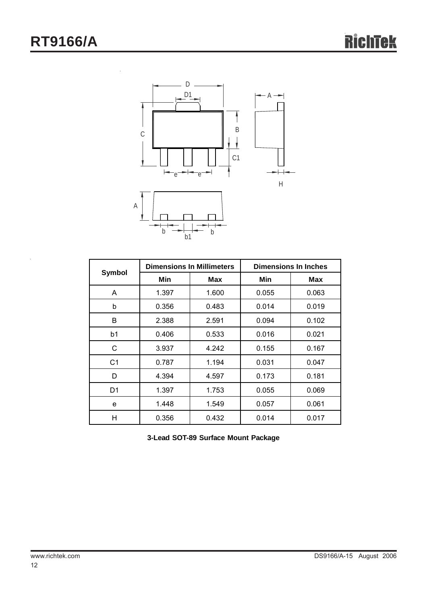

| Symbol         |       | <b>Dimensions In Millimeters</b> | <b>Dimensions In Inches</b> |       |  |
|----------------|-------|----------------------------------|-----------------------------|-------|--|
|                | Min   | Max                              | Min                         | Max   |  |
| A              | 1.397 | 1.600                            | 0.055                       | 0.063 |  |
| b              | 0.356 | 0.483                            | 0.014                       | 0.019 |  |
| B              | 2.388 | 2.591                            | 0.094                       | 0.102 |  |
| b1             | 0.406 | 0.533                            | 0.016                       | 0.021 |  |
| C              | 3.937 | 4.242                            | 0.155                       | 0.167 |  |
| C <sub>1</sub> | 0.787 | 1.194                            | 0.031                       | 0.047 |  |
| D              | 4.394 | 4.597                            | 0.173                       | 0.181 |  |
| D <sub>1</sub> | 1.397 | 1.753                            | 0.055                       | 0.069 |  |
| e              | 1.448 | 1.549                            | 0.057                       | 0.061 |  |
| н              | 0.356 | 0.432                            | 0.014                       | 0.017 |  |

**3-Lead SOT-89 Surface Mount Package**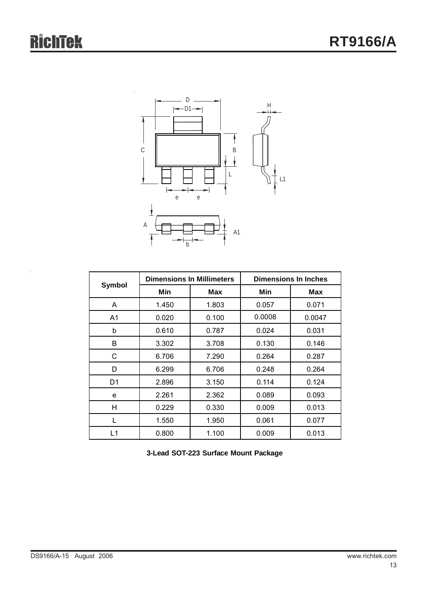

| Symbol |       | <b>Dimensions In Millimeters</b> | <b>Dimensions In Inches</b> |            |  |
|--------|-------|----------------------------------|-----------------------------|------------|--|
|        | Min   | Max                              | Min                         | <b>Max</b> |  |
| A      | 1.450 | 1.803                            | 0.057                       | 0.071      |  |
| A1     | 0.020 | 0.100                            | 0.0008                      | 0.0047     |  |
| b      | 0.610 | 0.787                            | 0.024                       | 0.031      |  |
| B      | 3.302 | 3.708                            | 0.130                       | 0.146      |  |
| С      | 6.706 | 7.290                            | 0.264                       | 0.287      |  |
| D      | 6.299 | 6.706                            | 0.248                       | 0.264      |  |
| D1     | 2.896 | 3.150                            | 0.114                       | 0.124      |  |
| e      | 2.261 | 2.362                            | 0.089                       | 0.093      |  |
| Н      | 0.229 | 0.330                            | 0.009                       | 0.013      |  |
| L      | 1.550 | 1.950                            | 0.061                       | 0.077      |  |
| L1     | 0.800 | 1.100                            | 0.009                       | 0.013      |  |

**3-Lead SOT-223 Surface Mount Package**